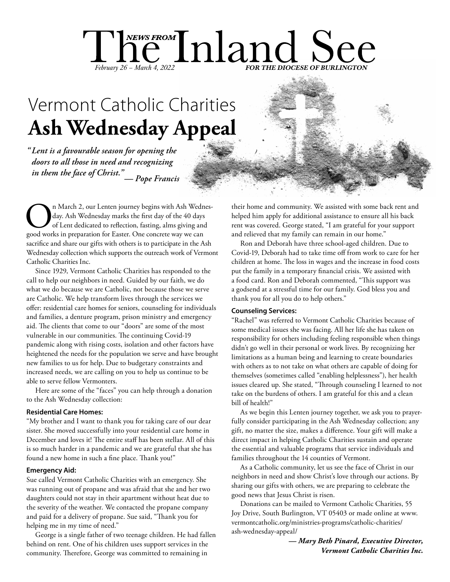# The Inland See February 26 – March 4, 2022 **FOR THE DIOCESE OF BURLINGTON**

# **Ash Wednesday Appeal** Vermont Catholic Charities

*" Lent is a favourable season for opening the doors to all those in need and recognizing in them the face of Christ."— Pope Francis*

On March 2, our Lenten journey begins with Ash Wednes-<br>day. Ash Wednesday marks the first day of the 40 days<br>of Lent dedicated to reflection, fasting, alms giving and<br>good works in preparation for Easter. One concrete way day. Ash Wednesday marks the first day of the 40 days of Lent dedicated to reflection, fasting, alms giving and sacrifice and share our gifts with others is to participate in the Ash Wednesday collection which supports the outreach work of Vermont Catholic Charities Inc.

Since 1929, Vermont Catholic Charities has responded to the call to help our neighbors in need. Guided by our faith, we do what we do because we are Catholic, not because those we serve are Catholic. We help transform lives through the services we offer: residential care homes for seniors, counseling for individuals and families, a denture program, prison ministry and emergency aid. The clients that come to our "doors" are some of the most vulnerable in our communities. The continuing Covid-19 pandemic along with rising costs, isolation and other factors have heightened the needs for the population we serve and have brought new families to us for help. Due to budgetary constraints and increased needs, we are calling on you to help us continue to be able to serve fellow Vermonters.

Here are some of the "faces" you can help through a donation to the Ash Wednesday collection:

## **Residential Care Homes:**

"My brother and I want to thank you for taking care of our dear sister. She moved successfully into your residential care home in December and loves it! The entire staff has been stellar. All of this is so much harder in a pandemic and we are grateful that she has found a new home in such a fine place. Thank you!"

## **Emergency Aid:**

Sue called Vermont Catholic Charities with an emergency. She was running out of propane and was afraid that she and her two daughters could not stay in their apartment without heat due to the severity of the weather. We contacted the propane company and paid for a delivery of propane. Sue said, "Thank you for helping me in my time of need."

George is a single father of two teenage children. He had fallen behind on rent. One of his children uses support services in the community. Therefore, George was committed to remaining in

their home and community. We assisted with some back rent and helped him apply for additional assistance to ensure all his back rent was covered. George stated, "I am grateful for your support and relieved that my family can remain in our home."

Ron and Deborah have three school-aged children. Due to Covid-19, Deborah had to take time off from work to care for her children at home. The loss in wages and the increase in food costs put the family in a temporary financial crisis. We assisted with a food card. Ron and Deborah commented, "This support was a godsend at a stressful time for our family. God bless you and thank you for all you do to help others."

### **Counseling Services:**

"Rachel" was referred to Vermont Catholic Charities because of some medical issues she was facing. All her life she has taken on responsibility for others including feeling responsible when things didn't go well in their personal or work lives. By recognizing her limitations as a human being and learning to create boundaries with others as to not take on what others are capable of doing for themselves (sometimes called "enabling helplessness"), her health issues cleared up. She stated, "Through counseling I learned to not take on the burdens of others. I am grateful for this and a clean bill of health!"

As we begin this Lenten journey together, we ask you to prayerfully consider participating in the Ash Wednesday collection; any gift, no matter the size, makes a difference. Your gift will make a direct impact in helping Catholic Charities sustain and operate the essential and valuable programs that service individuals and families throughout the 14 counties of Vermont.

As a Catholic community, let us see the face of Christ in our neighbors in need and show Christ's love through our actions. By sharing our gifts with others, we are preparing to celebrate the good news that Jesus Christ is risen.

Donations can be mailed to Vermont Catholic Charities, 55 Joy Drive, South Burlington, VT 05403 or made online at www. vermontcatholic.org/ministries-programs/catholic-charities/ ash-wednesday-appeal/

> *— Mary Beth Pinard, Executive Director, Vermont Catholic Charities Inc.*